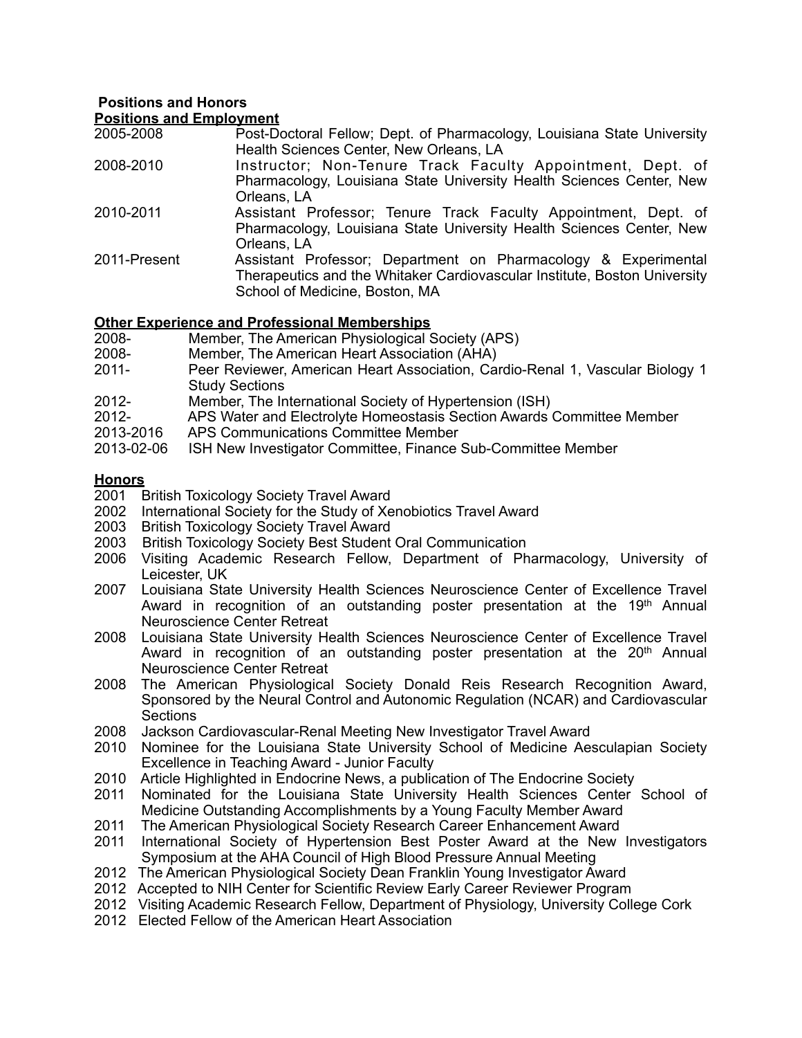## **Positions and Honors Positions and Employment**

| 2005-2008    | Post-Doctoral Fellow; Dept. of Pharmacology, Louisiana State University   |
|--------------|---------------------------------------------------------------------------|
|              | Health Sciences Center, New Orleans, LA                                   |
| 2008-2010    | Instructor; Non-Tenure Track Faculty Appointment, Dept. of                |
|              | Pharmacology, Louisiana State University Health Sciences Center, New      |
|              | Orleans, LA                                                               |
| 2010-2011    | Assistant Professor; Tenure Track Faculty Appointment, Dept. of           |
|              | Pharmacology, Louisiana State University Health Sciences Center, New      |
|              | Orleans, LA                                                               |
| 2011-Present | Assistant Professor; Department on Pharmacology & Experimental            |
|              | Therapeutics and the Whitaker Cardiovascular Institute, Boston University |
|              | School of Medicine, Boston, MA                                            |

## **Other Experience and Professional Memberships**<br>2008- Member, The American Physiological (

- 2008- Member, The American Physiological Society (APS)<br>2008- Member, The American Heart Association (AHA)
- 
- 2008- Member, The American Heart Association (AHA)<br>2011- Peer Reviewer, American Heart Association, Cai Peer Reviewer, American Heart Association, Cardio-Renal 1, Vascular Biology 1 Study Sections
- 2012- Member, The International Society of Hypertension (ISH)
- 2012- APS Water and Electrolyte Homeostasis Section Awards Committee Member
- 2013-2016 APS Communications Committee Member
- 1SH New Investigator Committee, Finance Sub-Committee Member

## **Honors**

- 2001 British Toxicology Society Travel Award
- 2002 International Society for the Study of Xenobiotics Travel Award
- 2003 British Toxicology Society Travel Award
- 2003 British Toxicology Society Best Student Oral Communication
- 2006 Visiting Academic Research Fellow, Department of Pharmacology, University of Leicester, UK
- 2007 Louisiana State University Health Sciences Neuroscience Center of Excellence Travel Award in recognition of an outstanding poster presentation at the  $19<sup>th</sup>$  Annual Neuroscience Center Retreat
- 2008 Louisiana State University Health Sciences Neuroscience Center of Excellence Travel Award in recognition of an outstanding poster presentation at the 20<sup>th</sup> Annual Neuroscience Center Retreat
- 2008 The American Physiological Society Donald Reis Research Recognition Award, Sponsored by the Neural Control and Autonomic Regulation (NCAR) and Cardiovascular **Sections**
- 2008 Jackson Cardiovascular-Renal Meeting New Investigator Travel Award
- 2010 Nominee for the Louisiana State University School of Medicine Aesculapian Society Excellence in Teaching Award - Junior Faculty
- 2010 Article Highlighted in Endocrine News, a publication of The Endocrine Society<br>2011 Nominated for the Louisiana State University Health Sciences Center
- 2011 Nominated for the Louisiana State University Health Sciences Center School of Medicine Outstanding Accomplishments by a Young Faculty Member Award
- 2011 The American Physiological Society Research Career Enhancement Award
- 2011 International Society of Hypertension Best Poster Award at the New Investigators Symposium at the AHA Council of High Blood Pressure Annual Meeting
- 2012 The American Physiological Society Dean Franklin Young Investigator Award
- 2012 Accepted to NIH Center for Scientific Review Early Career Reviewer Program
- 2012 Visiting Academic Research Fellow, Department of Physiology, University College Cork
- 2012 Elected Fellow of the American Heart Association